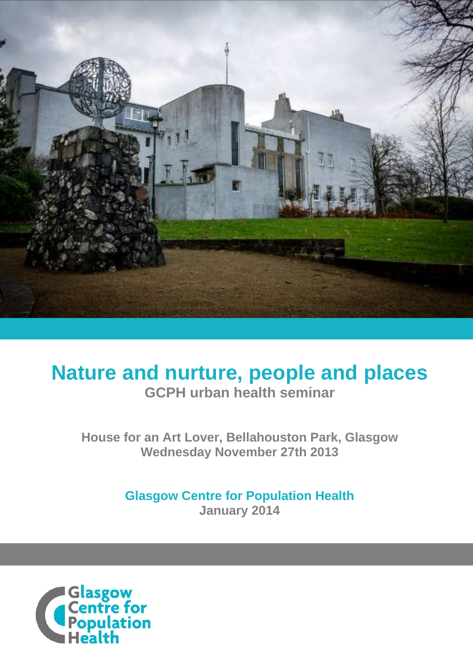

# **Nature and nurture, people and places GCPH urban health seminar**

**House for an Art Lover, Bellahouston Park, Glasgow Wednesday November 27th 2013** 

> **Glasgow Centre for Population Health January 2014**

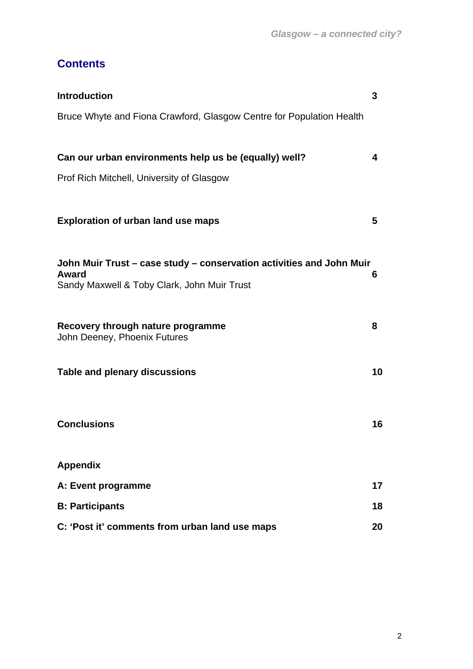## **Contents**

| <b>Introduction</b>                                                                                                          | 3  |
|------------------------------------------------------------------------------------------------------------------------------|----|
| Bruce Whyte and Fiona Crawford, Glasgow Centre for Population Health                                                         |    |
| Can our urban environments help us be (equally) well?                                                                        | 4  |
| Prof Rich Mitchell, University of Glasgow                                                                                    |    |
| <b>Exploration of urban land use maps</b>                                                                                    | 5  |
| John Muir Trust – case study – conservation activities and John Muir<br>Award<br>Sandy Maxwell & Toby Clark, John Muir Trust | 6  |
| Recovery through nature programme<br>John Deeney, Phoenix Futures                                                            | 8  |
| <b>Table and plenary discussions</b>                                                                                         | 10 |
| <b>Conclusions</b>                                                                                                           | 16 |
| <b>Appendix</b>                                                                                                              |    |
| A: Event programme                                                                                                           | 17 |
| <b>B: Participants</b>                                                                                                       | 18 |
| C: 'Post it' comments from urban land use maps                                                                               | 20 |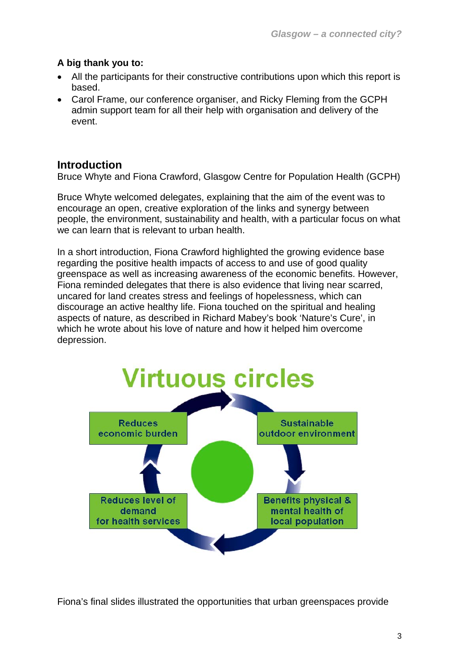## **A big thank you to:**

- All the participants for their constructive contributions upon which this report is based.
- Carol Frame, our conference organiser, and Ricky Fleming from the GCPH admin support team for all their help with organisation and delivery of the event.

## **Introduction**

Bruce Whyte and Fiona Crawford, Glasgow Centre for Population Health (GCPH)

Bruce Whyte welcomed delegates, explaining that the aim of the event was to encourage an open, creative exploration of the links and synergy between people, the environment, sustainability and health, with a particular focus on what we can learn that is relevant to urban health.

In a short introduction, Fiona Crawford highlighted the growing evidence base regarding the positive health impacts of access to and use of good quality greenspace as well as increasing awareness of the economic benefits. However, Fiona reminded delegates that there is also evidence that living near scarred, uncared for land creates stress and feelings of hopelessness, which can discourage an active healthy life. Fiona touched on the spiritual and healing aspects of nature, as described in Richard Mabey's book 'Nature's Cure', in which he wrote about his love of nature and how it helped him overcome depression.



Fiona's final slides illustrated the opportunities that urban greenspaces provide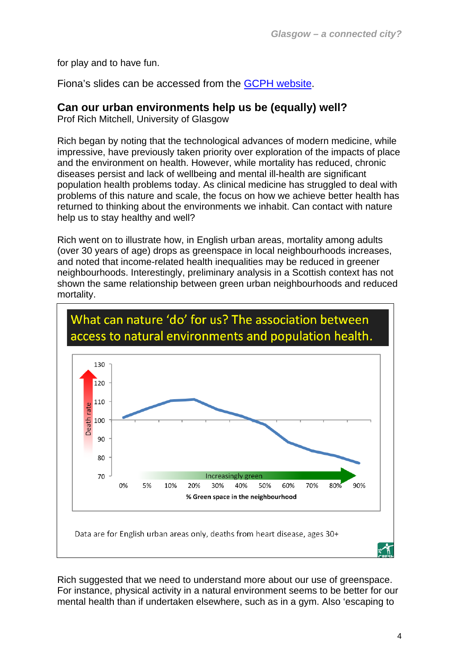for play and to have fun.

Fiona's slides can be accessed from the GCPH website.

## **Can our urban environments help us be (equally) well?**

Prof Rich Mitchell, University of Glasgow

R ich began by noting that the technological advances of modern medicine, while impressive, have previously taken priority over exploration of the impacts of place and the environment on health. However, while mortality has reduced, chronic diseases persist and lack of wellbeing and mental ill-health are significant population health problems today. As clinical medicine has struggled to dea l with problems of this nature and scale, the focus on how we achieve better health has returned to thinking about the environments we inhabit. Can contact with nature help us to stay healthy and well?

Rich went on to illustrate how, in English urban areas, mortality among adults , (over 30 years of age) drops as greenspace in local neighbourhoods increases neighbourhoods. Interestingly, preliminary analysis in a Scottish context has not and noted that income-related health inequalities may be reduced in greener shown the same relationship between green urban neighbourhoods and reduced mortality.



Rich suggested that we need to understand more about our use of greenspace. For instance, physical activity in a natural environment seems to be better for our mental health than if undertaken elsewhere, such as in a gym. Also 'escaping to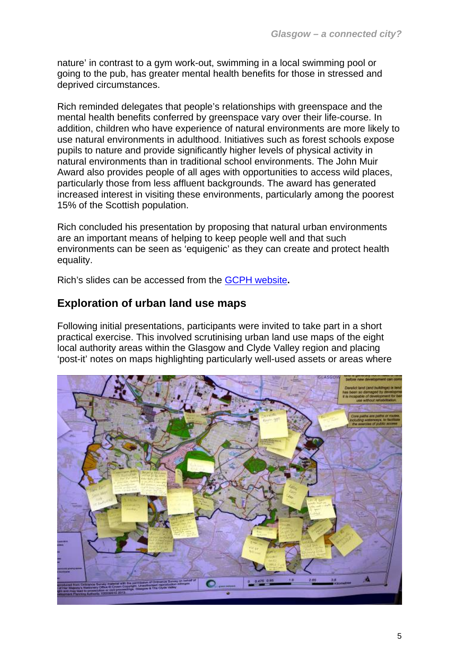nature' in contrast to a gym work-out, swimming in a local swimming pool or going to the pub, has greater mental health benefits for those in stressed and deprived circumstances.

Rich reminded delegates that people's relationships with greenspace and the addition, children who have experience of natural environments are more likely to Award also provides people of all ages with opportunities to access wild places, increased interest in visiting these environments, particularly among the poorest mental health benefits conferred by greenspace vary over their life-course. In use natural environments in adulthood. Initiatives such as forest schools expose pupils to nature and provide significantly higher levels of physical activity in natural environments than in traditional school environments. The John Muir particularly those from less affluent backgrounds. The award has generated 15% of the Scottish population.

Rich concluded his presentation by proposing that natural urban environments environments can be seen as 'equigenic' as they can create and protect health are an important means of helping to keep people well and that such equality.

Rich's slides can be accessed from the **GCPH website**.

## **Exploration of urban land use maps**

Following initial presentations, participants were invited to take part in a short 'post-it' notes on maps highlighting particularly well-used assets or areas where practical exercise. This involved scrutinising urban land use maps of the eight local authority areas within the Glasgow and Clyde Valley region and placing

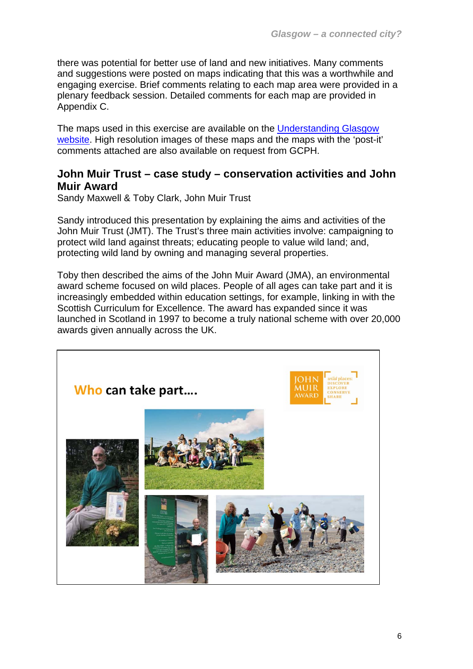there was potential for better use of land and new initiatives. Many comments and suggestions were posted on maps indicating that this was a worthwhile and engaging exercise. Brief comments relating to each map area were provided in a plenary feedback session. Detailed comments for each map are provided in Appendix C.

The maps used in this exercise are available on the [Understanding Glasgow](http://www.understandingglasgow.com/indicators/environment/urban_land_use/introduction)  [website.](http://www.understandingglasgow.com/indicators/environment/urban_land_use/introduction) High resolution images of these maps and the maps with the 'post-it' comments attached are also available on request from GCPH.

## **John Muir Trust – case study – conservation activities and John Muir Award**

Sandy Maxwell & Toby Clark, John Muir Trust

Sandy introduced this presentation by explaining the aims and activities of the John Muir Trust (JMT). The Trust's three main activities involve: campaigning to protect wild land against threats; educating people to value wild land; and, protecting wild land by owning and managing several properties.

Toby then described the aims of the John Muir Award (JMA), an environmental award scheme focused on wild places. People of all ages can take part and it is increasingly embedded within education settings, for example, linking in with the Scottish Curriculum for Excellence. The award has expanded since it was launched in Scotland in 1997 to become a truly national scheme with over 20,000 awards given annually across the UK.

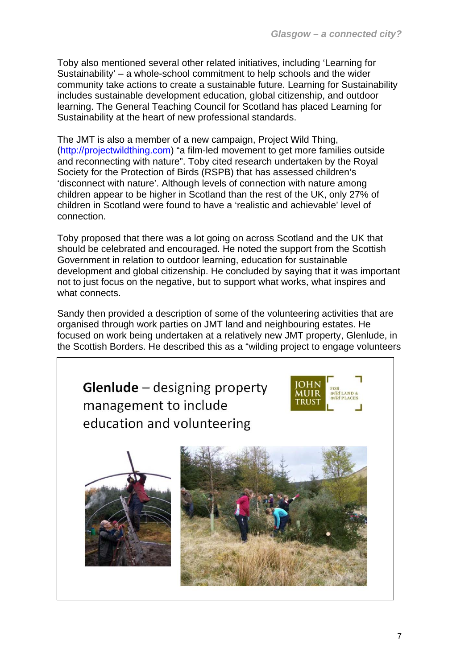Toby also mentioned several other related initiatives, including 'Learning for Sustainability' – a whole-school commitment to help schools and the wider community take actions to create a sustainable future. Learning for Sustainability includes sustainable development education, global citizenship, and outdoor learning. The General Teaching Council for Scotland has placed Learning for Sustainability at the heart of new professional standards.

The JMT is also a member of a new campaign, Project Wild Thing, ([http://projectwildthing.com\)](http://projectwildthing.com/) "a film-led movement to get more families outside and reconnecting with nature". Toby cited research undertaken by the Royal Society for the Protection of Birds (RSPB) that has assessed children's 'disconnect with nature'. Although levels of connection with nature among children appear to be higher in Scotland than the rest of the UK, only 27% of children in Scotland were found to have a 'realistic and achievable' level of connection.

Toby proposed that there was a lot going on across Scotland and the UK that should be celebrated and encouraged. He noted the support from the Scottish Government in relation to outdoor learning, education for sustainable development and global citizenship. He concluded by saying that it was important not to just focus on the negative, but to support what works, what inspires and what connects.

Sandy then provided a description of some of the volunteering activities that are organised through work parties on JMT land and neighbouring estates. He focused on work being undertaken at a relatively new JMT property, Glenlude, in the Scottish Borders. He described this as a "wilding project to engage volunteers

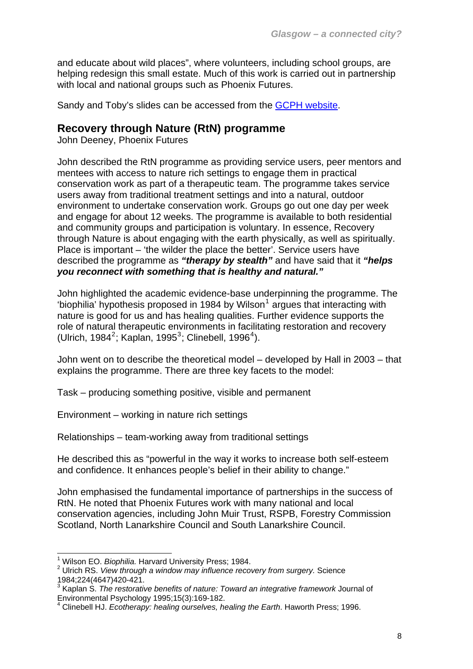and educate about wild places", where volunteers, including school groups, are helping redesign this small estate. Much of this work is carried out in partnership with local and national groups such as Phoenix Futures.

Sandy and Toby's slides can be accessed from the [GCPH website.](http://www.gcph.co.uk/events/140)

## **Recovery through Nature (RtN) programme**

John Deeney, Phoenix Futures

John described the RtN programme as providing service users, peer mentors and mentees with access to nature rich settings to engage them in practical conservation work as part of a therapeutic team. The programme takes service users away from traditional treatment settings and into a natural, outdoor environment to undertake conservation work. Groups go out one day per week and engage for about 12 weeks. The programme is available to both residential and community groups and participation is voluntary. In essence, Recovery through Nature is about engaging with the earth physically, as well as spiritually. Place is important – 'the wilder the place the better'. Service users have described the programme as *"therapy by stealth"* and have said that it *"helps you reconnect with something that is healthy and natural."*

John highlighted the academic evidence-base underpinning the programme. The 'biophilia' hypothesis proposed in [1](#page-7-0)984 by Wilson<sup>1</sup> argues that interacting with nature is good for us and has healing qualities. Further evidence supports the role of natural therapeutic environments in facilitating restoration and recovery (Ulrich, 1984<sup>[2](#page-7-1)</sup>; Kaplan, 1995<sup>[3](#page-7-2)</sup>; Clinebell, 1996<sup>[4](#page-7-3)</sup>).

John went on to describe the theoretical model – developed by Hall in 2003 – that explains the programme. There are three key facets to the model:

Task – producing something positive, visible and permanent

Environment – working in nature rich settings

Relationships – team-working away from traditional settings

He described this as "powerful in the way it works to increase both self-esteem and confidence. It enhances people's belief in their ability to change."

John emphasised the fundamental importance of partnerships in the success of RtN. He noted that Phoenix Futures work with many national and local conservation agencies, including John Muir Trust, RSPB, Forestry Commission Scotland, North Lanarkshire Council and South Lanarkshire Council.

l

<sup>&</sup>lt;sup>1</sup> Wilson EO. *Biophilia.* Harvard University Press; 1984.<br><sup>2</sup> Ultiph BS, *View through a window may influence rese* 

<span id="page-7-1"></span><span id="page-7-0"></span>Ulrich RS. *View through a window may influence recovery from surgery.* Science 1984;224(4647)420-421.

<span id="page-7-2"></span><sup>3</sup> Kaplan S. *The restorative benefits of nature: Toward an integrative framework* Journal of Environmental Psychology 1995;15(3):169-182.

<span id="page-7-3"></span><sup>4</sup> Clinebell HJ. *Ecotherapy: healing ourselves, healing the Earth*. Haworth Press; 1996.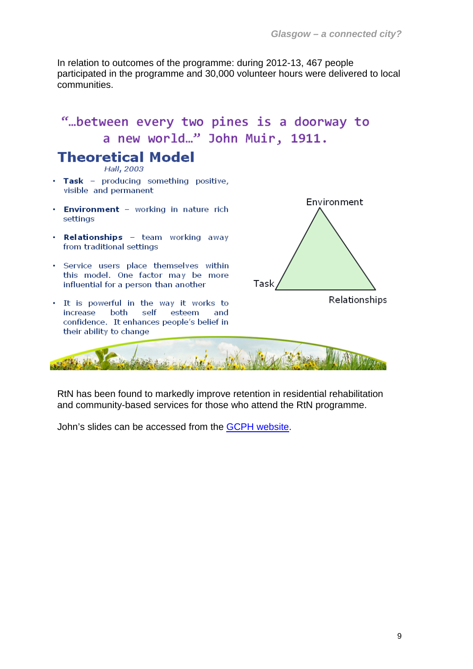In relation to outcomes of the programme: during 2012-13, 467 people participated in the programme and 30,000 volunteer hours were delivered to local communities.

## "... between every two pines is a doorway to a new world..." John Muir, 1911.

## **Theoretical Model**

Hall, 2003

- Task producing something positive, visible and permanent
- Environment working in nature rich settinas
- . Relationships team working away from traditional settings
- . Service users place themselves within this model. One factor may be more influential for a person than another
- . It is powerful in the way it works to increase both self esteem and confidence. It enhances people's belief in their ability to change



$$
\mathcal{L} = \mathcal{L} = \mathcal{L} = \mathcal{L} = \mathcal{L} = \mathcal{L} = \mathcal{L} = \mathcal{L} = \mathcal{L} = \mathcal{L} = \mathcal{L} = \mathcal{L} = \mathcal{L} = \mathcal{L} = \mathcal{L} = \mathcal{L} = \mathcal{L} = \mathcal{L} = \mathcal{L} = \mathcal{L} = \mathcal{L} = \mathcal{L} = \mathcal{L} = \mathcal{L} = \mathcal{L} = \mathcal{L} = \mathcal{L} = \mathcal{L} = \mathcal{L} = \mathcal{L} = \mathcal{L} = \mathcal{L} = \mathcal{L} = \mathcal{L} = \mathcal{L} = \mathcal{L} = \mathcal{L} = \mathcal{L} = \mathcal{L} = \mathcal{L} = \mathcal{L} = \mathcal{L} = \mathcal{L} = \mathcal{L} = \mathcal{L} = \mathcal{L} = \mathcal{L} = \mathcal{L} = \mathcal{L} = \mathcal{L} = \mathcal{L} = \mathcal{L} = \mathcal{L} = \mathcal{L} = \mathcal{L} = \mathcal{L} = \mathcal{L} = \mathcal{L} = \mathcal{L} = \mathcal{L} = \mathcal{L} = \mathcal{L} = \mathcal{L} = \mathcal{L} = \mathcal{L} = \mathcal{L} = \mathcal{L} = \mathcal{L} = \mathcal{L} = \mathcal{L} = \mathcal{L} = \mathcal{L} = \mathcal{L} = \mathcal{L} = \mathcal{L} = \mathcal{L} = \mathcal{L} = \mathcal{L} = \mathcal{L} = \mathcal{L} = \mathcal{L} = \mathcal{L} = \mathcal{L} = \mathcal{L} = \mathcal{L} = \mathcal{L} = \mathcal{L} = \mathcal{L} = \mathcal{L} = \mathcal{L} = \mathcal{L} = \mathcal{L} = \mathcal{L} = \mathcal{L} = \mathcal{L} = \mathcal{L} = \mathcal{L} = \mathcal{L} = \mathcal{L} = \mathcal{L} = \mathcal{L} = \mathcal{L} = \mathcal{L} = \mathcal{L} = \mathcal{L} = \mathcal{L} = \mathcal{L} = \mathcal{L} = \mathcal{
$$

RtN has been found to markedly improve retention in residential rehabilitation and community-based services for those who attend the RtN programme.

John's slides can be accessed from the [GCPH website.](http://www.gcph.co.uk/events/140)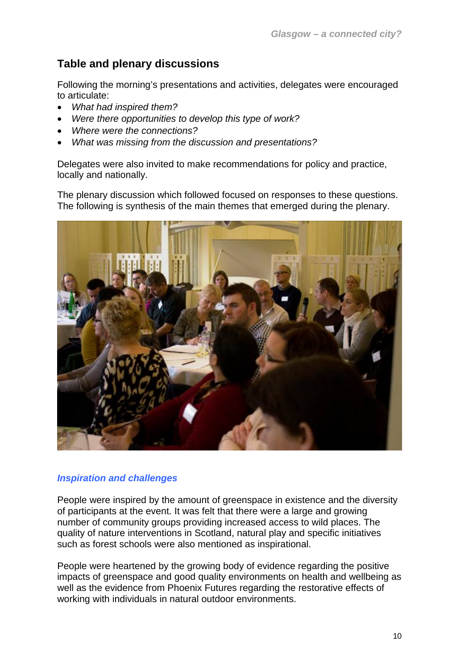## **Table and plenary discussions**

Following the morning's presentations and activities, delegates were encouraged to articulate:

- *What had inspired them?*
- *Were there opportunities to develop this type of work?*
- *Where were the connections?*
- *What was missing from the discussion and presentations?*

Delegates were also invited to make recommendations for policy and practice, locally and nationally.

The plenary discussion which followed focused on responses to these questions. The following is synthesis of the main themes that emerged during the plenary.



#### *Inspiration and challenges*

People were inspired by the amount of greenspace in existence and the diversity of participants at the event. It was felt that there were a large and growing number of community groups providing increased access to wild places. The quality of nature interventions in Scotland, natural play and specific initiatives such as forest schools were also mentioned as inspirational.

People were heartened by the growing body of evidence regarding the positive impacts of greenspace and good quality environments on health and wellbeing as well as the evidence from Phoenix Futures regarding the restorative effects of working with individuals in natural outdoor environments.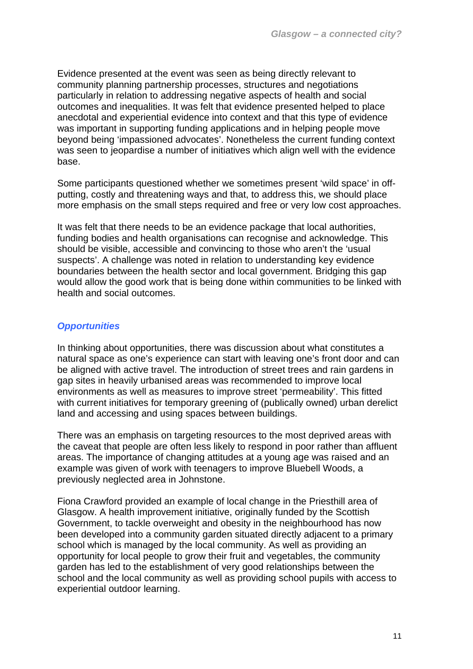Evidence presented at the event was seen as being directly relevant to community planning partnership processes, structures and negotiations particularly in relation to addressing negative aspects of health and social outcomes and inequalities. It was felt that evidence presented helped to place anecdotal and experiential evidence into context and that this type of evidence was important in supporting funding applications and in helping people move beyond being 'impassioned advocates'. Nonetheless the current funding context was seen to jeopardise a number of initiatives which align well with the evidence base.

Some participants questioned whether we sometimes present 'wild space' in offputting, costly and threatening ways and that, to address this, we should place more emphasis on the small steps required and free or very low cost approaches.

It was felt that there needs to be an evidence package that local authorities, funding bodies and health organisations can recognise and acknowledge. This should be visible, accessible and convincing to those who aren't the 'usual suspects'. A challenge was noted in relation to understanding key evidence boundaries between the health sector and local government. Bridging this gap would allow the good work that is being done within communities to be linked with health and social outcomes.

#### *Opportunities*

In thinking about opportunities, there was discussion about what constitutes a natural space as one's experience can start with leaving one's front door and can be aligned with active travel. The introduction of street trees and rain gardens in gap sites in heavily urbanised areas was recommended to improve local environments as well as measures to improve street 'permeability'. This fitted with current initiatives for temporary greening of (publically owned) urban derelict land and accessing and using spaces between buildings.

There was an emphasis on targeting resources to the most deprived areas with the caveat that people are often less likely to respond in poor rather than affluent areas. The importance of changing attitudes at a young age was raised and an example was given of work with teenagers to improve Bluebell Woods, a previously neglected area in Johnstone.

Fiona Crawford provided an example of local change in the Priesthill area of Glasgow. A health improvement initiative, originally funded by the Scottish Government, to tackle overweight and obesity in the neighbourhood has now been developed into a community garden situated directly adjacent to a primary school which is managed by the local community. As well as providing an opportunity for local people to grow their fruit and vegetables, the community garden has led to the establishment of very good relationships between the school and the local community as well as providing school pupils with access to experiential outdoor learning.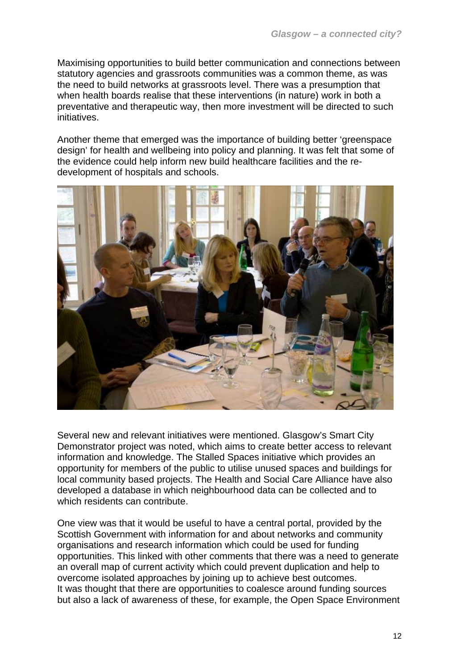Maximising opportunities to build better communication and connections between statutory agencies and grassroots communities was a common theme, as was the need to build networks at grassroots level. There was a presumption that when health boards realise that these interventions (in nature) work in both a preventative and therapeutic way, then more investment will be directed to such initiatives.

Another theme that emerged was the importance of building better 'greenspace design' for health and wellbeing into policy and planning. It was felt that some of the evidence could help inform new build healthcare facilities and the redevelopment of hospitals and schools.



Several new and relevant initiatives were mentioned. Glasgow's Smart City Demonstrator project was noted, which aims to create better access to relevant information and knowledge. The Stalled Spaces initiative which provides an opportunity for members of the public to utilise unused spaces and buildings for local community based projects. The Health and Social Care Alliance have also developed a database in which neighbourhood data can be collected and to which residents can contribute.

One view was that it would be useful to have a central portal, provided by the Scottish Government with information for and about networks and community organisations and research information which could be used for funding opportunities. This linked with other comments that there was a need to generate an overall map of current activity which could prevent duplication and help to overcome isolated approaches by joining up to achieve best outcomes. It was thought that there are opportunities to coalesce around funding sources but also a lack of awareness of these, for example, the Open Space Environment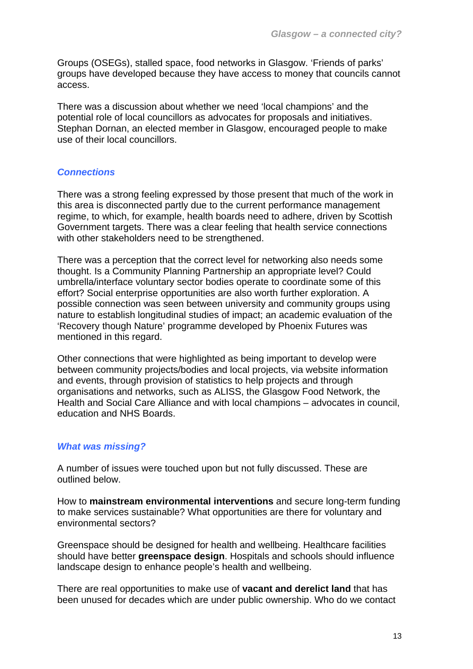Groups (OSEGs), stalled space, food networks in Glasgow. 'Friends of parks' groups have developed because they have access to money that councils cannot access.

There was a discussion about whether we need 'local champions' and the potential role of local councillors as advocates for proposals and initiatives. Stephan Dornan, an elected member in Glasgow, encouraged people to make use of their local councillors.

#### *Connections*

There was a strong feeling expressed by those present that much of the work in this area is disconnected partly due to the current performance management regime, to which, for example, health boards need to adhere, driven by Scottish Government targets. There was a clear feeling that health service connections with other stakeholders need to be strengthened.

There was a perception that the correct level for networking also needs some thought. Is a Community Planning Partnership an appropriate level? Could umbrella/interface voluntary sector bodies operate to coordinate some of this effort? Social enterprise opportunities are also worth further exploration. A possible connection was seen between university and community groups using nature to establish longitudinal studies of impact; an academic evaluation of the 'Recovery though Nature' programme developed by Phoenix Futures was mentioned in this regard.

Other connections that were highlighted as being important to develop were between community projects/bodies and local projects, via website information and events, through provision of statistics to help projects and through organisations and networks, such as ALISS, the Glasgow Food Network, the Health and Social Care Alliance and with local champions – advocates in council, education and NHS Boards.

#### *What was missing?*

A number of issues were touched upon but not fully discussed. These are outlined below.

How to **mainstream environmental interventions** and secure long-term funding to make services sustainable? What opportunities are there for voluntary and environmental sectors?

Greenspace should be designed for health and wellbeing. Healthcare facilities should have better **greenspace design**. Hospitals and schools should influence landscape design to enhance people's health and wellbeing.

There are real opportunities to make use of **vacant and derelict land** that has been unused for decades which are under public ownership. Who do we contact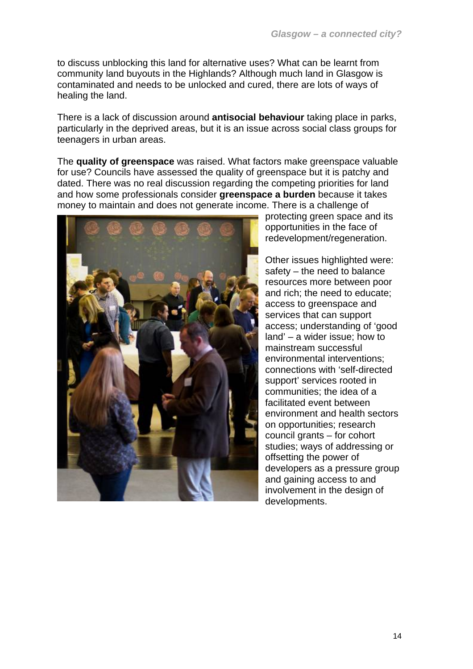to discuss unblocking this land for alternative uses? What can be learnt from community land buyouts in the Highlands? Although much land in Glasgow is contaminated and needs to be unlocked and cured, there are lots of ways of healing the land.

There is a lack of discussion around **antisocial behaviour** taking place in parks, particularly in the deprived areas, but it is an issue across social class groups for teenagers in urban areas.

The **quality of greenspace** was raised. What factors make greenspace valuable for use? Councils have assessed the quality of greenspace but it is patchy and dated. There was no real discussion regarding the competing priorities for land and how some professionals consider **greenspace a burden** because it takes money to maintain and does not generate income. There is a challenge of



protecting green space and its opportunities in the face of redevelopment/regeneration.

Other issues highlighted were: safety – the need to balance resources more between poor and rich; the need to educate; access to greenspace and services that can support access; understanding of 'good land' – a wider issue; how to mainstream successful environmental interventions; connections with 'self-directed support' services rooted in communities; the idea of a facilitated event between environment and health sectors on opportunities; research council grants – for cohort studies; ways of addressing or offsetting the power of developers as a pressure group and gaining access to and involvement in the design of developments.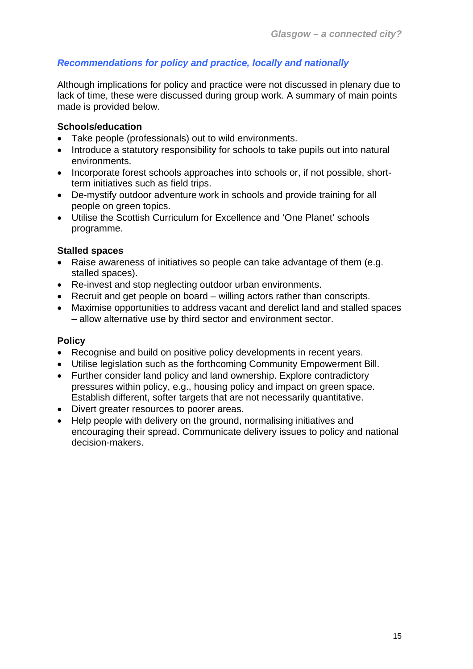## *Recommendations for policy and practice, locally and nationally*

Although implications for policy and practice were not discussed in plenary due to lack of time, these were discussed during group work. A summary of main points made is provided below.

#### **Schools/education**

- Take people (professionals) out to wild environments.
- Introduce a statutory responsibility for schools to take pupils out into natural environments.
- Incorporate forest schools approaches into schools or, if not possible, shortterm initiatives such as field trips.
- De-mystify outdoor adventure work in schools and provide training for all people on green topics.
- Utilise the Scottish Curriculum for Excellence and 'One Planet' schools programme.

#### **Stalled spaces**

- Raise awareness of initiatives so people can take advantage of them (e.g. stalled spaces).
- Re-invest and stop neglecting outdoor urban environments.
- Recruit and get people on board willing actors rather than conscripts.
- Maximise opportunities to address vacant and derelict land and stalled spaces – allow alternative use by third sector and environment sector.

## **Policy**

- Recognise and build on positive policy developments in recent years.
- Utilise legislation such as the forthcoming Community Empowerment Bill.
- Further consider land policy and land ownership. Explore contradictory pressures within policy, e.g., housing policy and impact on green space. Establish different, softer targets that are not necessarily quantitative.
- Divert greater resources to poorer areas.
- Help people with delivery on the ground, normalising initiatives and encouraging their spread. Communicate delivery issues to policy and national decision-makers.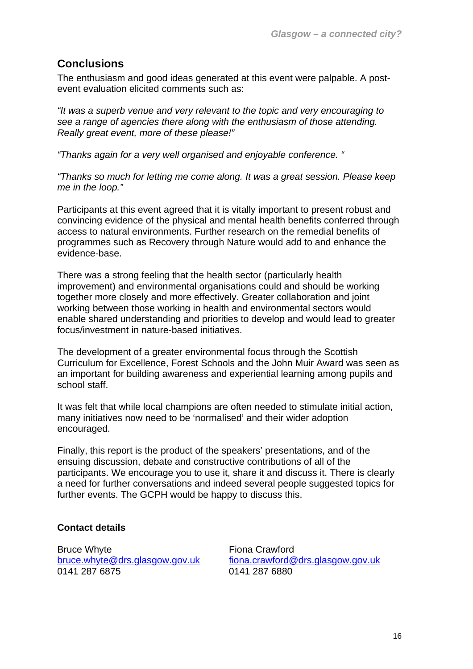## **Conclusions**

The enthusiasm and good ideas generated at this event were palpable. A postevent evaluation elicited comments such as:

*"It was a superb venue and very relevant to the topic and very encouraging to see a range of agencies there along with the enthusiasm of those attending. Really great event, more of these please!"* 

*"Thanks again for a very well organised and enjoyable conference. "* 

*"Thanks so much for letting me come along. It was a great session. Please keep me in the loop."* 

Participants at this event agreed that it is vitally important to present robust and convincing evidence of the physical and mental health benefits conferred through access to natural environments. Further research on the remedial benefits of programmes such as Recovery through Nature would add to and enhance the evidence-base.

There was a strong feeling that the health sector (particularly health improvement) and environmental organisations could and should be working together more closely and more effectively. Greater collaboration and joint working between those working in health and environmental sectors would enable shared understanding and priorities to develop and would lead to greater focus/investment in nature-based initiatives.

The development of a greater environmental focus through the Scottish Curriculum for Excellence, Forest Schools and the John Muir Award was seen as an important for building awareness and experiential learning among pupils and school staff.

It was felt that while local champions are often needed to stimulate initial action, many initiatives now need to be 'normalised' and their wider adoption encouraged.

Finally, this report is the product of the speakers' presentations, and of the ensuing discussion, debate and constructive contributions of all of the participants. We encourage you to use it, share it and discuss it. There is clearly a need for further conversations and indeed several people suggested topics for further events. The GCPH would be happy to discuss this.

## **Contact details**

Bruce Whyte **Fiona Crawford** 

[bruce.whyte@drs.glasgow.gov.uk](mailto:bruce.whyte@drs.glasgow.gov.uk) [fiona.crawford@drs.glasgow.gov.uk](mailto:fiona.crawford@drs.glasgow.gov.uk) 0141 287 6880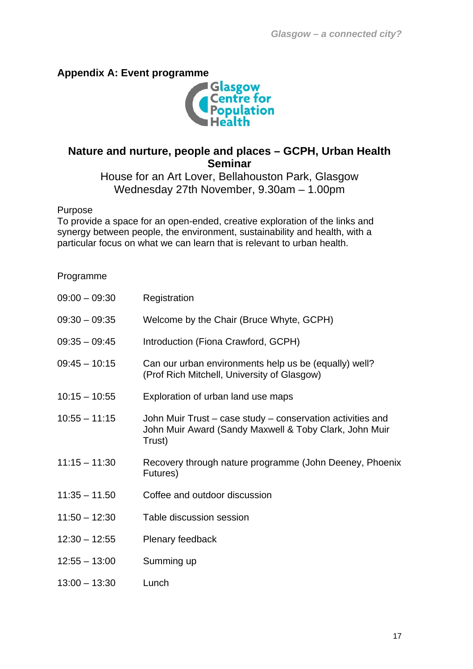## **Appendix A: Event programme**



## **Nature and nurture, people and places – GCPH, Urban Health Seminar**

House for an Art Lover, Bellahouston Park, Glasgow Wednesday 27th November, 9.30am – 1.00pm

#### Purpose

To provide a space for an open-ended, creative exploration of the links and synergy between people, the environment, sustainability and health, with a particular focus on what we can learn that is relevant to urban health.

#### Programme

| $09:00 - 09:30$ | Registration                                                                                                                   |
|-----------------|--------------------------------------------------------------------------------------------------------------------------------|
| $09:30 - 09:35$ | Welcome by the Chair (Bruce Whyte, GCPH)                                                                                       |
| $09:35 - 09:45$ | Introduction (Fiona Crawford, GCPH)                                                                                            |
| $09:45 - 10:15$ | Can our urban environments help us be (equally) well?<br>(Prof Rich Mitchell, University of Glasgow)                           |
| $10:15 - 10:55$ | Exploration of urban land use maps                                                                                             |
| $10:55 - 11:15$ | John Muir Trust – case study – conservation activities and<br>John Muir Award (Sandy Maxwell & Toby Clark, John Muir<br>Trust) |
| $11:15 - 11:30$ | Recovery through nature programme (John Deeney, Phoenix<br>Futures)                                                            |
| $11:35 - 11.50$ | Coffee and outdoor discussion                                                                                                  |
| $11:50 - 12:30$ | Table discussion session                                                                                                       |
| $12:30 - 12:55$ | Plenary feedback                                                                                                               |
| $12:55 - 13:00$ | Summing up                                                                                                                     |
| $13:00 - 13:30$ | Lunch                                                                                                                          |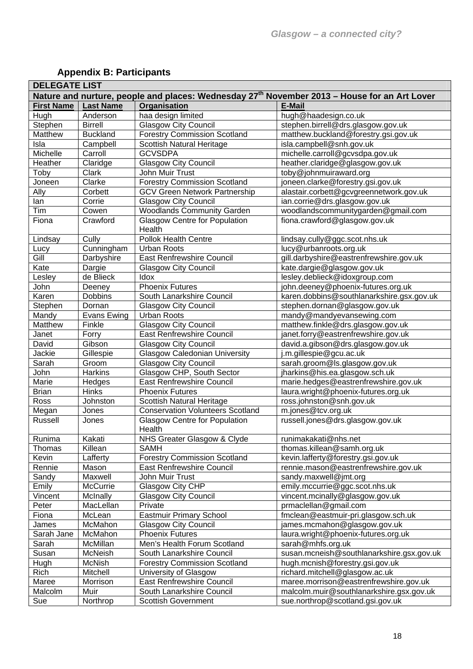| <b>DELEGATE LIST</b>                                                                                     |                    |                                                |                                           |  |  |
|----------------------------------------------------------------------------------------------------------|--------------------|------------------------------------------------|-------------------------------------------|--|--|
| Nature and nurture, people and places: Wednesday 27 <sup>th</sup> November 2013 - House for an Art Lover |                    |                                                |                                           |  |  |
| <b>First Name</b>                                                                                        | <b>Last Name</b>   | Organisation                                   | <b>E-Mail</b>                             |  |  |
| Hugh                                                                                                     | Anderson           | haa design limited                             | hugh@haadesign.co.uk                      |  |  |
| Stephen                                                                                                  | <b>Birrell</b>     | <b>Glasgow City Council</b>                    | stephen.birrell@drs.glasgow.gov.uk        |  |  |
| Matthew                                                                                                  | <b>Buckland</b>    | <b>Forestry Commission Scotland</b>            | matthew.buckland@forestry.gsi.gov.uk      |  |  |
| Isla                                                                                                     | Campbell           | Scottish Natural Heritage                      | isla.campbell@snh.gov.uk                  |  |  |
| Michelle                                                                                                 | Carroll            | <b>GCVSDPA</b>                                 | michelle.carroll@gcvsdpa.gov.uk           |  |  |
| Heather                                                                                                  | Claridge           | <b>Glasgow City Council</b>                    | heather.claridge@glasgow.gov.uk           |  |  |
| Toby                                                                                                     | Clark              | John Muir Trust                                | toby@johnmuiraward.org                    |  |  |
| Joneen                                                                                                   | Clarke             | <b>Forestry Commission Scotland</b>            | joneen.clarke@forestry.gsi.gov.uk         |  |  |
| Ally                                                                                                     | Corbett            | <b>GCV Green Network Partnership</b>           | alastair.corbett@gcvgreennetwork.gov.uk   |  |  |
| lan                                                                                                      | Corrie             | <b>Glasgow City Council</b>                    | ian.corrie@drs.glasgow.gov.uk             |  |  |
| Tim                                                                                                      | Cowen              | <b>Woodlands Community Garden</b>              | woodlandscommunitygarden@gmail.com        |  |  |
| Fiona                                                                                                    | Crawford           | <b>Glasgow Centre for Population</b><br>Health | fiona.crawford@glasgow.gov.uk             |  |  |
| Lindsay                                                                                                  | Cully              | <b>Pollok Health Centre</b>                    | lindsay.cully@ggc.scot.nhs.uk             |  |  |
| Lucy                                                                                                     | Cunningham         | <b>Urban Roots</b>                             | lucy@urbanroots.org.uk                    |  |  |
| Gill                                                                                                     | Darbyshire         | East Renfrewshire Council                      | gill.darbyshire@eastrenfrewshire.gov.uk   |  |  |
| Kate                                                                                                     | Dargie             | <b>Glasgow City Council</b>                    | kate.dargie@glasgow.gov.uk                |  |  |
| Lesley                                                                                                   | de Blieck          | Idox                                           | lesley.deblieck@idoxgroup.com             |  |  |
| John                                                                                                     | Deeney             | <b>Phoenix Futures</b>                         | john.deeney@phoenix-futures.org.uk        |  |  |
| Karen                                                                                                    | <b>Dobbins</b>     | South Lanarkshire Council                      | karen.dobbins@southlanarkshire.gsx.gov.uk |  |  |
| Stephen                                                                                                  | Dornan             | <b>Glasgow City Council</b>                    | stephen.dornan@glasgow.gov.uk             |  |  |
| Mandy                                                                                                    | <b>Evans Ewing</b> | <b>Urban Roots</b>                             | mandy@mandyevansewing.com                 |  |  |
| Matthew                                                                                                  | Finkle             | <b>Glasgow City Council</b>                    | matthew.finkle@drs.glasgow.gov.uk         |  |  |
| Janet                                                                                                    | Forry              | <b>East Renfrewshire Council</b>               | janet.forry@eastrenfrewshire.gov.uk       |  |  |
| David                                                                                                    | Gibson             | <b>Glasgow City Council</b>                    | david.a.gibson@drs.glasgow.gov.uk         |  |  |
| Jackie                                                                                                   | Gillespie          | <b>Glasgow Caledonian University</b>           | j.m.gillespie@gcu.ac.uk                   |  |  |
| Sarah                                                                                                    | Groom              | Glasgow City Council                           | sarah.groom@ls.glasgow.gov.uk             |  |  |
| John                                                                                                     | Harkins            | Glasgow CHP, South Sector                      | jharkins@his.ea.glasgow.sch.uk            |  |  |
| Marie                                                                                                    | Hedges             | <b>East Renfrewshire Council</b>               | marie.hedges@eastrenfrewshire.gov.uk      |  |  |
| <b>Brian</b>                                                                                             | <b>Hinks</b>       | <b>Phoenix Futures</b>                         | laura.wright@phoenix-futures.org.uk       |  |  |
| Ross                                                                                                     | Johnston           | Scottish Natural Heritage                      | ross.johnston@snh.gov.uk                  |  |  |
| Megan                                                                                                    | Jones              | <b>Conservation Volunteers Scotland</b>        | m.jones@tcv.org.uk                        |  |  |
| Russell                                                                                                  | Jones              | <b>Glasgow Centre for Population</b><br>Health | russell.jones@drs.glasgow.gov.uk          |  |  |
| Runima                                                                                                   | Kakati             | NHS Greater Glasgow & Clyde                    | runimakakati@nhs.net                      |  |  |
| Thomas                                                                                                   | Killean            | <b>SAMH</b>                                    | thomas.killean@samh.org.uk                |  |  |
| Kevin                                                                                                    | Lafferty           | <b>Forestry Commission Scotland</b>            | kevin.lafferty@forestry.gsi.gov.uk        |  |  |
| Rennie                                                                                                   | Mason              | <b>East Renfrewshire Council</b>               | rennie.mason@eastrenfrewshire.gov.uk      |  |  |
| Sandy                                                                                                    | Maxwell            | John Muir Trust                                | sandy.maxwell@jmt.org                     |  |  |
| Emily                                                                                                    | McCurrie           | Glasgow City CHP                               | emily.mccurrie@ggc.scot.nhs.uk            |  |  |
| Vincent                                                                                                  | McInally           | <b>Glasgow City Council</b>                    | vincent.mcinally@glasgow.gov.uk           |  |  |
| Peter                                                                                                    | MacLellan          | Private                                        | prmaclellan@gmail.com                     |  |  |
| Fiona                                                                                                    | McLean             | Eastmuir Primary School                        | fmclean@eastmuir-pri.glasgow.sch.uk       |  |  |
| James                                                                                                    | McMahon            | <b>Glasgow City Council</b>                    | james.mcmahon@glasgow.gov.uk              |  |  |
| Sarah Jane                                                                                               | McMahon            | <b>Phoenix Futures</b>                         | laura.wright@phoenix-futures.org.uk       |  |  |
| Sarah                                                                                                    | McMillan           | Men's Health Forum Scotland                    | sarah@mhfs.org.uk                         |  |  |
| Susan                                                                                                    | McNeish            | South Lanarkshire Council                      | susan.mcneish@southlanarkshire.gsx.gov.uk |  |  |
| Hugh                                                                                                     | McNish             | <b>Forestry Commission Scotland</b>            | hugh.mcnish@forestry.gsi.gov.uk           |  |  |
| Rich                                                                                                     | Mitchell           | University of Glasgow                          | richard.mitchell@glasgow.ac.uk            |  |  |
| Maree                                                                                                    | Morrison           | East Renfrewshire Council                      | maree.morrison@eastrenfrewshire.gov.uk    |  |  |
| Malcolm                                                                                                  | Muir               | South Lanarkshire Council                      | malcolm.muir@southlanarkshire.gsx.gov.uk  |  |  |
|                                                                                                          |                    |                                                |                                           |  |  |
| Sue                                                                                                      | Northrop           | <b>Scottish Government</b>                     | sue.northrop@scotland.gsi.gov.uk          |  |  |

## **Appendix B: Participants**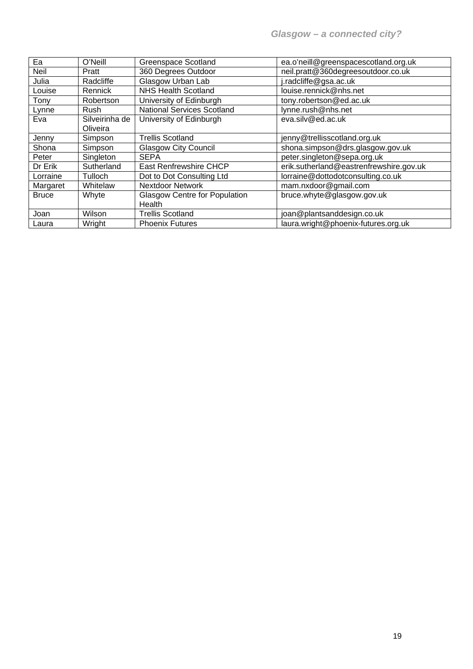| Ea           | O'Neill        | <b>Greenspace Scotland</b>           | ea.o'neill@greenspacescotland.org.uk    |
|--------------|----------------|--------------------------------------|-----------------------------------------|
| <b>Neil</b>  | Pratt          | 360 Degrees Outdoor                  | neil.pratt@360degreesoutdoor.co.uk      |
| Julia        | Radcliffe      | Glasgow Urban Lab                    | j.radcliffe@gsa.ac.uk                   |
| Louise       | Rennick        | <b>NHS Health Scotland</b>           | louise.rennick@nhs.net                  |
| Tony         | Robertson      | University of Edinburgh              | tony.robertson@ed.ac.uk                 |
| Lynne        | Rush           | <b>National Services Scotland</b>    | lynne.rush@nhs.net                      |
| Eva          | Silveirinha de | University of Edinburgh              | eva.silv@ed.ac.uk                       |
|              | Oliveira       |                                      |                                         |
| Jenny        | Simpson        | <b>Trellis Scotland</b>              | jenny@trellisscotland.org.uk            |
| Shona        | Simpson        | <b>Glasgow City Council</b>          | shona.simpson@drs.glasgow.gov.uk        |
| Peter        | Singleton      | <b>SEPA</b>                          | peter.singleton@sepa.org.uk             |
| Dr Erik      | Sutherland     | East Renfrewshire CHCP               | erik.sutherland@eastrenfrewshire.gov.uk |
| Lorraine     | <b>Tulloch</b> | Dot to Dot Consulting Ltd            | lorraine@dottodotconsulting.co.uk       |
| Margaret     | Whitelaw       | <b>Nextdoor Network</b>              | mam.nxdoor@gmail.com                    |
| <b>Bruce</b> | Whyte          | <b>Glasgow Centre for Population</b> | bruce.whyte@glasgow.gov.uk              |
|              |                | Health                               |                                         |
| Joan         | Wilson         | <b>Trellis Scotland</b>              | joan@plantsanddesign.co.uk              |
| Laura        | Wright         | <b>Phoenix Futures</b>               | laura.wright@phoenix-futures.org.uk     |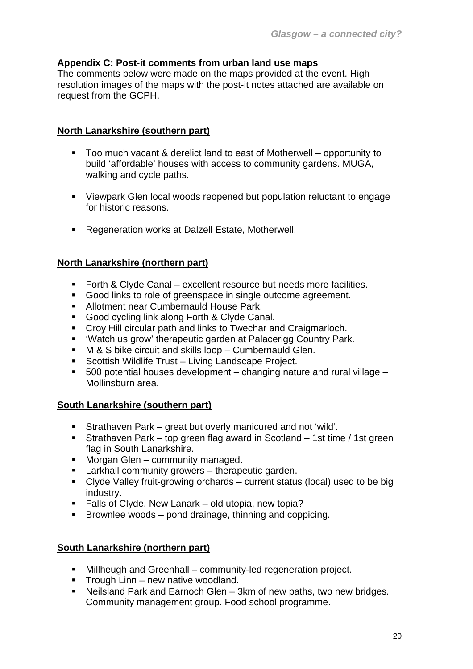## **Appendix C: Post-it comments from urban land use maps**

The comments below were made on the maps provided at the event. High resolution images of the maps with the post-it notes attached are available on request from the GCPH.

## **North Lanarkshire (southern part)**

- Too much vacant & derelict land to east of Motherwell opportunity to build 'affordable' houses with access to community gardens. MUGA, walking and cycle paths.
- Viewpark Glen local woods reopened but population reluctant to engage for historic reasons.
- **Regeneration works at Dalzell Estate, Motherwell.**

## **North Lanarkshire (northern part)**

- Forth & Clyde Canal excellent resource but needs more facilities.
- Good links to role of greenspace in single outcome agreement.
- **Allotment near Cumbernauld House Park.**
- Good cycling link along Forth & Clyde Canal.
- Croy Hill circular path and links to Twechar and Craigmarloch.
- 'Watch us grow' therapeutic garden at Palacerigg Country Park.
- M & S bike circuit and skills loop Cumbernauld Glen.
- **Scottish Wildlife Trust Living Landscape Project.**
- $\blacksquare$  500 potential houses development changing nature and rural village Mollinsburn area.

## **South Lanarkshire (southern part)**

- Strathaven Park great but overly manicured and not 'wild'.
- Strathaven Park top green flag award in Scotland 1st time / 1st green flag in South Lanarkshire.
- **Morgan Glen community managed.**
- **EXECT** Larkhall community growers therapeutic garden.
- Clyde Valley fruit-growing orchards current status (local) used to be big industry.
- Falls of Clyde, New Lanark old utopia, new topia?
- Brownlee woods  $-$  pond drainage, thinning and coppicing.

## **South Lanarkshire (northern part)**

- Millheugh and Greenhall community-led regeneration project.
- **Trough Linn new native woodland.**
- Neilsland Park and Earnoch Glen 3km of new paths, two new bridges. Community management group. Food school programme.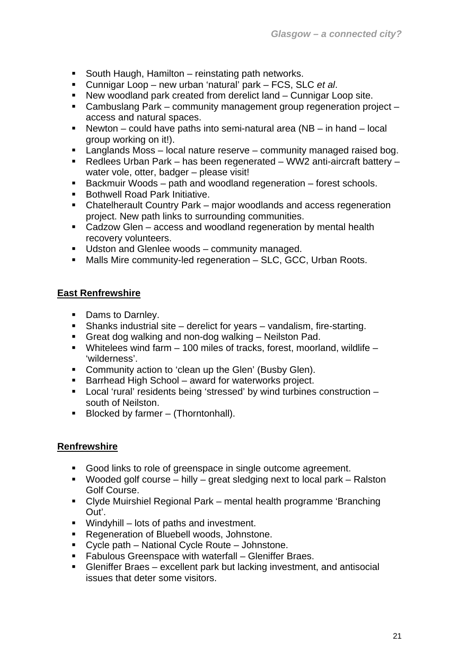- South Haugh, Hamilton reinstating path networks.
- Cunnigar Loop new urban 'natural' park FCS, SLC *et al*.
- New woodland park created from derelict land Cunnigar Loop site.
- Cambuslang Park community management group regeneration project access and natural spaces.
- Newton could have paths into semi-natural area  $(NB in hand local)$ group working on it!).
- **Langlands Moss local nature reserve community managed raised bog.**
- Redlees Urban Park has been regenerated WW2 anti-aircraft battery water vole, otter, badger – please visit!
- Backmuir Woods path and woodland regeneration forest schools.
- Bothwell Road Park Initiative.
- Chatelherault Country Park major woodlands and access regeneration project. New path links to surrounding communities.
- Cadzow Glen access and woodland regeneration by mental health recovery volunteers.
- **Udston and Glenlee woods community managed.**
- Malls Mire community-led regeneration SLC, GCC, Urban Roots.

## **East Renfrewshire**

- Dams to Darnley.
- Shanks industrial site derelict for years vandalism, fire-starting.
- Great dog walking and non-dog walking Neilston Pad.
- Whitelees wind farm 100 miles of tracks, forest, moorland, wildlife 'wilderness'.
- **Community action to 'clean up the Glen' (Busby Glen).**
- Barrhead High School award for waterworks project.
- Local 'rural' residents being 'stressed' by wind turbines construction south of Neilston.
- $\blacksquare$  Blocked by farmer (Thorntonhall).

## **Renfrewshire**

- Good links to role of greenspace in single outcome agreement.
- Wooded golf course hilly great sledging next to local park Ralston Golf Course.
- Clyde Muirshiel Regional Park mental health programme 'Branching Out'.
- Windyhill lots of paths and investment.
- **Regeneration of Bluebell woods, Johnstone.**
- Cycle path National Cycle Route Johnstone.
- **Fabulous Greenspace with waterfall Gleniffer Braes.**
- Gleniffer Braes excellent park but lacking investment, and antisocial issues that deter some visitors.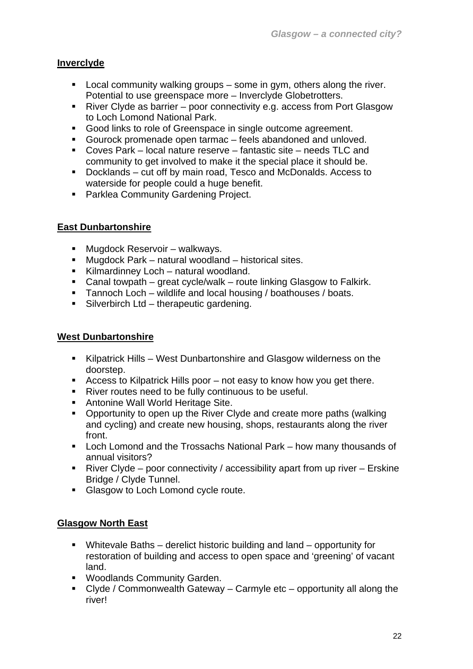## **Inverclyde**

- **Local community walking groups some in gym, others along the river.** Potential to use greenspace more – Inverclyde Globetrotters.
- River Clyde as barrier poor connectivity e.g. access from Port Glasgow to Loch Lomond National Park.
- Good links to role of Greenspace in single outcome agreement.
- Gourock promenade open tarmac feels abandoned and unloved.
- Coves Park local nature reserve fantastic site needs TLC and community to get involved to make it the special place it should be.
- Docklands cut off by main road, Tesco and McDonalds. Access to waterside for people could a huge benefit.
- **Parklea Community Gardening Project.**

## **East Dunbartonshire**

- Mugdock Reservoir walkways.
- Mugdock Park natural woodland historical sites.
- Kilmardinney Loch natural woodland.
- Canal towpath great cycle/walk route linking Glasgow to Falkirk.
- Tannoch Loch wildlife and local housing / boathouses / boats.
- Silverbirch Ltd therapeutic gardening.

## **West Dunbartonshire**

- Kilpatrick Hills West Dunbartonshire and Glasgow wilderness on the doorstep.
- Access to Kilpatrick Hills poor not easy to know how you get there.
- River routes need to be fully continuous to be useful.
- **Antonine Wall World Heritage Site.**
- Opportunity to open up the River Clyde and create more paths (walking and cycling) and create new housing, shops, restaurants along the river front.
- Loch Lomond and the Trossachs National Park how many thousands of annual visitors?
- **River Clyde poor connectivity / accessibility apart from up river Erskine** Bridge / Clyde Tunnel.
- **Glasgow to Loch Lomond cycle route.**

## **Glasgow North East**

- Whitevale Baths derelict historic building and land opportunity for restoration of building and access to open space and 'greening' of vacant land.
- **Woodlands Community Garden.**
- $\blacksquare$  Clyde / Commonwealth Gateway Carmyle etc opportunity all along the river!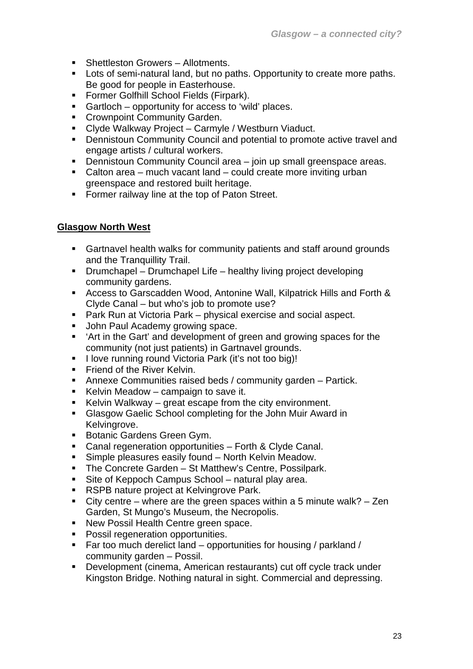- Shettleston Growers Allotments.
- Lots of semi-natural land, but no paths. Opportunity to create more paths. Be good for people in Easterhouse.
- **Former Golfhill School Fields (Firpark).**
- Gartloch opportunity for access to 'wild' places.
- **Crownpoint Community Garden.**
- Clyde Walkway Project Carmyle / Westburn Viaduct.
- Dennistoun Community Council and potential to promote active travel and engage artists / cultural workers.
- Dennistoun Community Council area join up small greenspace areas.
- Calton area much vacant land could create more inviting urban greenspace and restored built heritage.
- **Former railway line at the top of Paton Street.**

## **Glasgow North West**

- Gartnavel health walks for community patients and staff around grounds and the Tranquillity Trail.
- Drumchapel Drumchapel Life healthy living project developing community gardens.
- Access to Garscadden Wood, Antonine Wall, Kilpatrick Hills and Forth & Clyde Canal – but who's job to promote use?
- Park Run at Victoria Park physical exercise and social aspect.
- John Paul Academy growing space.
- 'Art in the Gart' and development of green and growing spaces for the community (not just patients) in Gartnavel grounds.
- I love running round Victoria Park (it's not too big)!
- **Firiend of the River Kelvin.**
- Annexe Communities raised beds / community garden Partick.
- Kelvin Meadow campaign to save it.
- Kelvin Walkway great escape from the city environment.
- Glasgow Gaelic School completing for the John Muir Award in Kelvingrove.
- **Botanic Gardens Green Gym.**
- Canal regeneration opportunities Forth & Clyde Canal.
- Simple pleasures easily found North Kelvin Meadow.
- **The Concrete Garden St Matthew's Centre, Possilpark.**
- Site of Keppoch Campus School natural play area.
- **RSPB** nature project at Kelvingrove Park.
- City centre where are the green spaces within a 5 minute walk? Zen Garden, St Mungo's Museum, the Necropolis.
- New Possil Health Centre green space.
- **Possil regeneration opportunities.**
- Far too much derelict land  $-$  opportunities for housing / parkland / community garden – Possil.
- Development (cinema, American restaurants) cut off cycle track under Kingston Bridge. Nothing natural in sight. Commercial and depressing.